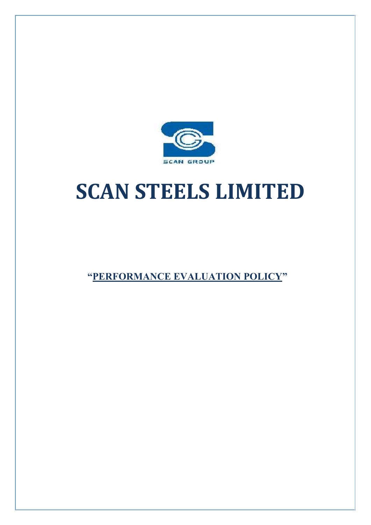

# **SCAN STEELS LIMITED**

**"PERFORMANCE EVALUATION POLICY"**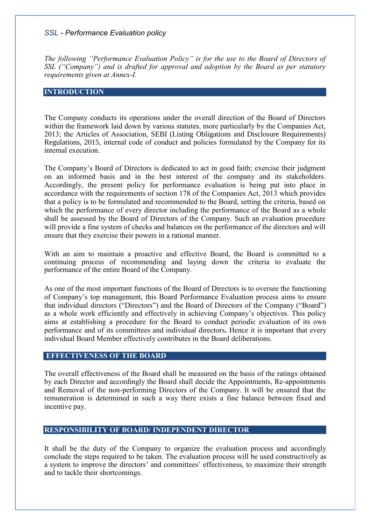*The following "Performance Evaluation Policy" is for the use to the Board of Directors of SSL ("Company") and is drafted for approval and adoption by the Board as per statutory requirements given at Annex-I.*

#### **INTRODUCTION**

The Company conducts its operations under the overall direction of the Board of Directors within the framework laid down by various statutes, more particularly by the Companies Act, 2013; the Articles of Association, SEBI (Listing Obligations and Disclosure Requirements) Regulations, 2015, internal code of conduct and policies formulated by the Company for its internal execution.

The Company's Board of Directors is dedicated to act in good faith; exercise their judgment on an informed basis and in the best interest of the company and its stakeholders. Accordingly, the present policy for performance evaluation is being put into place in accordance with the requirements of section 178 of the Companies Act, 2013 which provides that a policy is to be formulated and recommended to the Board, setting the criteria, based on which the performance of every director including the performance of the Board as a whole shall be assessed by the Board of Directors of the Company. Such an evaluation procedure will provide a fine system of checks and balances on the performance of the directors and will ensure that they exercise their powers in a rational manner.

With an aim to maintain a proactive and effective Board, the Board is committed to a continuing process of recommending and laying down the criteria to evaluate the performance of the entire Board of the Company.

As one of the most important functions of the Board of Directors is to oversee the functioning of Company's top management, this Board Performance Evaluation process aims to ensure that individual directors ("Directors") and the Board of Directors of the Company ("Board") as a whole work efficiently and effectively in achieving Company's objectives. This policy aims at establishing a procedure for the Board to conduct periodic evaluation of its own performance and of its committees and individual directors**.** Hence it is important that every individual Board Member effectively contributes in the Board deliberations.

## **EFFECTIVENESS OF THE BOARD**

The overall effectiveness of the Board shall be measured on the basis of the ratings obtained by each Director and accordingly the Board shall decide the Appointments, Re-appointments and Removal of the non-performing Directors of the Company. It will be ensured that the remuneration is determined in such a way there exists a fine balance between fixed and incentive pay.

# **RESPONSIBILITY OF BOARD/ INDEPENDENT DIRECTOR**

It shall be the duty of the Company to organize the evaluation process and accordingly conclude the steps required to be taken. The evaluation process will be used constructively as a system to improve the directors' and committees' effectiveness, to maximize their strength and to tackle their shortcomings.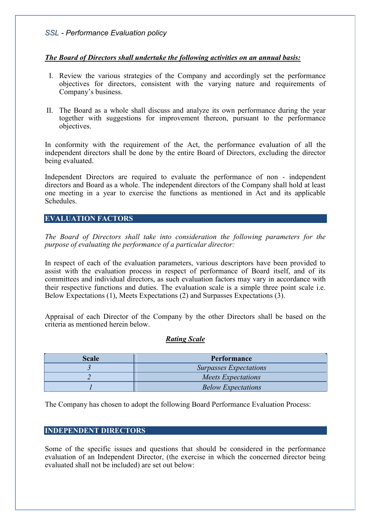# *The Board of Directors shall undertake the following activities on an annual basis:*

- I. Review the various strategies of the Company and accordingly set the performance objectives for directors, consistent with the varying nature and requirements of Company's business.
- II. The Board as a whole shall discuss and analyze its own performance during the year together with suggestions for improvement thereon, pursuant to the performance objectives.

In conformity with the requirement of the Act, the performance evaluation of all the independent directors shall be done by the entire Board of Directors, excluding the director being evaluated.

Independent Directors are required to evaluate the performance of non - independent directors and Board as a whole. The independent directors of the Company shall hold at least one meeting in a year to exercise the functions as mentioned in Act and its applicable Schedules.

## **EVALUATION FACTORS**

*The Board of Directors shall take into consideration the following parameters for the purpose of evaluating the performance of a particular director:*

In respect of each of the evaluation parameters, various descriptors have been provided to assist with the evaluation process in respect of performance of Board itself, and of its committees and individual directors, as such evaluation factors may vary in accordance with their respective functions and duties. The evaluation scale is a simple three point scale i.e. Below Expectations (1), Meets Expectations (2) and Surpasses Expectations (3).

Appraisal of each Director of the Company by the other Directors shall be based on the criteria as mentioned herein below.

## *Rating Scale*

| <b>Scale</b> | Performance                   |
|--------------|-------------------------------|
|              | <b>Surpasses Expectations</b> |
|              | <b>Meets Expectations</b>     |
|              | <b>Below Expectations</b>     |

The Company has chosen to adopt the following Board Performance Evaluation Process:

## **INDEPENDENT DIRECTORS**

Some of the specific issues and questions that should be considered in the performance evaluation of an Independent Director, (the exercise in which the concerned director being evaluated shall not be included) are set out below: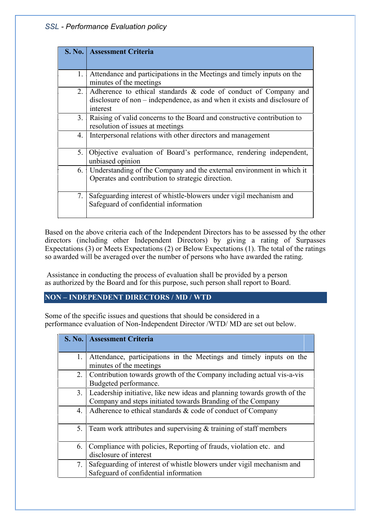| <b>S. No.</b> | <b>Assessment Criteria</b>                                                                                                                               |
|---------------|----------------------------------------------------------------------------------------------------------------------------------------------------------|
|               |                                                                                                                                                          |
| 1.            | Attendance and participations in the Meetings and timely inputs on the<br>minutes of the meetings                                                        |
| 2.            | Adherence to ethical standards & code of conduct of Company and<br>disclosure of non – independence, as and when it exists and disclosure of<br>interest |
| 3.            | Raising of valid concerns to the Board and constructive contribution to<br>resolution of issues at meetings                                              |
| 4.            | Interpersonal relations with other directors and management                                                                                              |
| 5.            | Objective evaluation of Board's performance, rendering independent,<br>unbiased opinion                                                                  |
| 6.            | Understanding of the Company and the external environment in which it<br>Operates and contribution to strategic direction.                               |
| 7.            | Safeguarding interest of whistle-blowers under vigil mechanism and<br>Safeguard of confidential information                                              |

Based on the above criteria each of the Independent Directors has to be assessed by the other directors (including other Independent Directors) by giving a rating of Surpasses Expectations (3) or Meets Expectations (2) or Below Expectations (1). The total of the ratings so awarded will be averaged over the number of persons who have awarded the rating.

Assistance in conducting the process of evaluation shall be provided by a person as authorized by the Board and for this purpose, such person shall report to Board.

# **NON – INDEPENDENT DIRECTORS / MD / WTD**

Some of the specific issues and questions that should be considered in a performance evaluation of Non-Independent Director /WTD/ MD are set out below.

|    | S. No.   Assessment Criteria                                                                   |
|----|------------------------------------------------------------------------------------------------|
|    |                                                                                                |
| 1. | Attendance, participations in the Meetings and timely inputs on the<br>minutes of the meetings |
| 2. | Contribution towards growth of the Company including actual vis-a-vis                          |
|    | Budgeted performance.                                                                          |
| 3. | Leadership initiative, like new ideas and planning towards growth of the                       |
|    | Company and steps initiated towards Branding of the Company                                    |
| 4. | Adherence to ethical standards & code of conduct of Company                                    |
| 5. | Team work attributes and supervising $&$ training of staff members                             |
| 6. | Compliance with policies, Reporting of frauds, violation etc. and                              |
|    | disclosure of interest                                                                         |
| 7. | Safeguarding of interest of whistle blowers under vigil mechanism and                          |
|    | Safeguard of confidential information                                                          |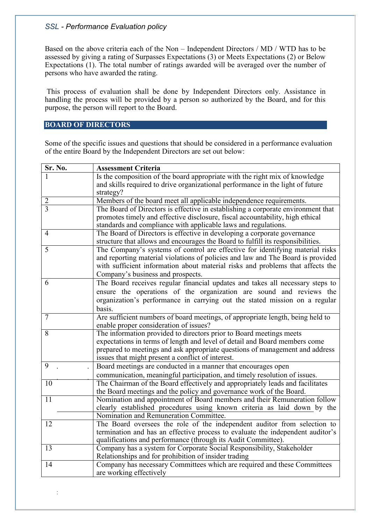Based on the above criteria each of the Non – Independent Directors / MD / WTD has to be assessed by giving a rating of Surpasses Expectations (3) or Meets Expectations (2) or Below Expectations (1). The total number of ratings awarded will be averaged over the number of persons who have awarded the rating.

This process of evaluation shall be done by Independent Directors only. Assistance in handling the process will be provided by a person so authorized by the Board, and for this purpose, the person will report to the Board.

# **BOARD OF DIRECTORS**

 $\frac{1}{2}$ 

Some of the specific issues and questions that should be considered in a performance evaluation of the entire Board by the Independent Directors are set out below:

| Sr. No.         | <b>Assessment Criteria</b>                                                                                                                                                                                                                                                              |
|-----------------|-----------------------------------------------------------------------------------------------------------------------------------------------------------------------------------------------------------------------------------------------------------------------------------------|
|                 | Is the composition of the board appropriate with the right mix of knowledge<br>and skills required to drive organizational performance in the light of future<br>strategy?                                                                                                              |
| $\overline{2}$  | Members of the board meet all applicable independence requirements.                                                                                                                                                                                                                     |
| 3               | The Board of Directors is effective in establishing a corporate environment that<br>promotes timely and effective disclosure, fiscal accountability, high ethical<br>standards and compliance with applicable laws and regulations.                                                     |
| $\overline{4}$  | The Board of Directors is effective in developing a corporate governance<br>structure that allows and encourages the Board to fulfill its responsibilities.                                                                                                                             |
| 5               | The Company's systems of control are effective for identifying material risks<br>and reporting material violations of policies and law and The Board is provided<br>with sufficient information about material risks and problems that affects the<br>Company's business and prospects. |
| 6               | The Board receives regular financial updates and takes all necessary steps to<br>ensure the operations of the organization are sound and reviews the<br>organization's performance in carrying out the stated mission on a regular<br>basis.                                            |
| $\tau$          | Are sufficient numbers of board meetings, of appropriate length, being held to<br>enable proper consideration of issues?                                                                                                                                                                |
| 8               | The information provided to directors prior to Board meetings meets<br>expectations in terms of length and level of detail and Board members come<br>prepared to meetings and ask appropriate questions of management and address<br>issues that might present a conflict of interest.  |
| 9               | Board meetings are conducted in a manner that encourages open<br>communication, meaningful participation, and timely resolution of issues.                                                                                                                                              |
| 10              | The Chairman of the Board effectively and appropriately leads and facilitates<br>the Board meetings and the policy and governance work of the Board.                                                                                                                                    |
| 11              | Nomination and appointment of Board members and their Remuneration follow<br>clearly established procedures using known criteria as laid down by the<br>Nomination and Remuneration Committee.                                                                                          |
| 12              | The Board oversees the role of the independent auditor from selection to<br>termination and has an effective process to evaluate the independent auditor's<br>qualifications and performance (through its Audit Committee).                                                             |
| $\overline{13}$ | Company has a system for Corporate Social Responsibility, Stakeholder<br>Relationships and for prohibition of insider trading                                                                                                                                                           |
| 14              | Company has necessary Committees which are required and these Committees<br>are working effectively                                                                                                                                                                                     |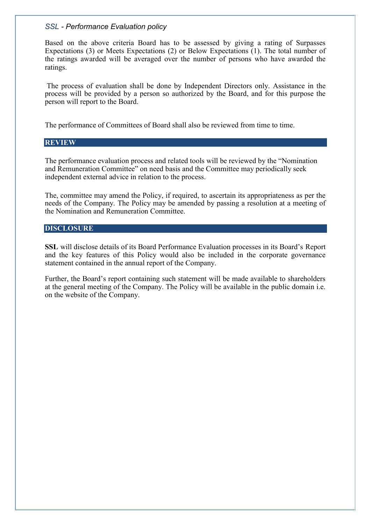Based on the above criteria Board has to be assessed by giving a rating of Surpasses Expectations (3) or Meets Expectations (2) or Below Expectations (1). The total number of the ratings awarded will be averaged over the number of persons who have awarded the ratings.

The process of evaluation shall be done by Independent Directors only. Assistance in the process will be provided by a person so authorized by the Board, and for this purpose the person will report to the Board.

The performance of Committees of Board shall also be reviewed from time to time.

#### **REVIEW**

The performance evaluation process and related tools will be reviewed by the "Nomination and Remuneration Committee" on need basis and the Committee may periodically seek independent external advice in relation to the process.

The, committee may amend the Policy, if required, to ascertain its appropriateness as per the needs of the Company. The Policy may be amended by passing a resolution at a meeting of the Nomination and Remuneration Committee.

# **DISCLOSURE**

**SSL** will disclose details of its Board Performance Evaluation processes in its Board's Report and the key features of this Policy would also be included in the corporate governance statement contained in the annual report of the Company.

Further, the Board's report containing such statement will be made available to shareholders at the general meeting of the Company. The Policy will be available in the public domain i.e. on the website of the Company.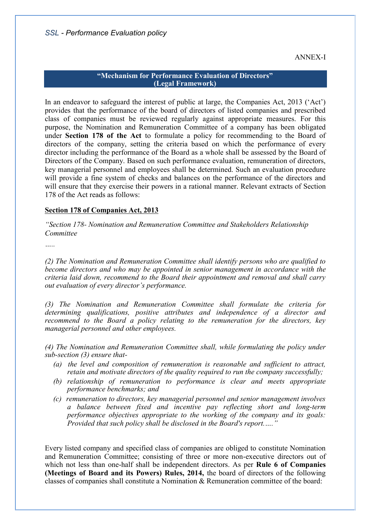ANNEX-I

#### **"Mechanism for Performance Evaluation of Directors" (Legal Framework)**

In an endeavor to safeguard the interest of public at large, the Companies Act, 2013 ('Act') provides that the performance of the board of directors of listed companies and prescribed class of companies must be reviewed regularly against appropriate measures. For this purpose, the Nomination and Remuneration Committee of a company has been obligated under **Section 178 of the Act** to formulate a policy for recommending to the Board of directors of the company, setting the criteria based on which the performance of every director including the performance of the Board as a whole shall be assessed by the Board of Directors of the Company. Based on such performance evaluation, remuneration of directors, key managerial personnel and employees shall be determined. Such an evaluation procedure will provide a fine system of checks and balances on the performance of the directors and will ensure that they exercise their powers in a rational manner. Relevant extracts of Section 178 of the Act reads as follows:

# **Section 178 of Companies Act, 2013**

*"Section 178- Nomination and Remuneration Committee and Stakeholders Relationship Committee*

*…..*

*(2) The Nomination and Remuneration Committee shall identify persons who are qualified to become directors and who may be appointed in senior management in accordance with the criteria laid down, recommend to the Board their appointment and removal and shall carry out evaluation of every director's performance.*

*(3) The Nomination and Remuneration Committee shall formulate the criteria for determining qualifications, positive attributes and independence of a director and recommend to the Board a policy relating to the remuneration for the directors, key managerial personnel and other employees.*

*(4) The Nomination and Remuneration Committee shall, while formulating the policy under sub-section (3) ensure that-*

- *(a) the level and composition of remuneration is reasonable and sufficient to attract, retain and motivate directors of the quality required to run the company successfully;*
- *(b) relationship of remuneration to performance is clear and meets appropriate performance benchmarks; and*
- *(c) remuneration to directors, key managerial personnel and senior management involves a balance between fixed and incentive pay reflecting short and long-term performance objectives appropriate to the working of the company and its goals: Provided that such policy shall be disclosed in the Board's report.…."*

Every listed company and specified class of companies are obliged to constitute Nomination and Remuneration Committee; consisting of three or more non-executive directors out of which not less than one-half shall be independent directors. As per **Rule 6 of Companies (Meetings of Board and its Powers) Rules, 2014,** the board of directors of the following classes of companies shall constitute a Nomination & Remuneration committee of the board: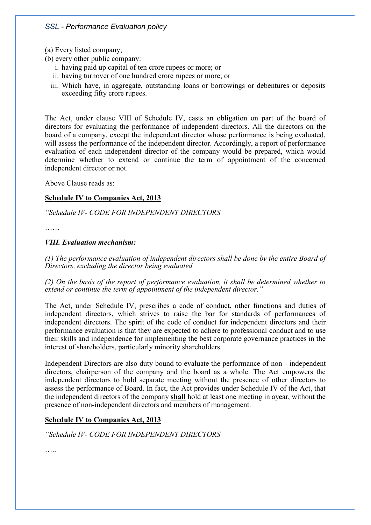(a) Every listed company;

(b) every other public company:

- i. having paid up capital of ten crore rupees or more; or
- ii. having turnover of one hundred crore rupees or more; or
- iii. Which have, in aggregate, outstanding loans or borrowings or debentures or deposits exceeding fifty crore rupees.

The Act, under clause VIII of Schedule IV, casts an obligation on part of the board of directors for evaluating the performance of independent directors. All the directors on the board of a company, except the independent director whose performance is being evaluated, will assess the performance of the independent director. Accordingly, a report of performance evaluation of each independent director of the company would be prepared, which would determine whether to extend or continue the term of appointment of the concerned independent director or not.

Above Clause reads as:

## **Schedule IV to Companies Act, 2013**

## *"Schedule IV- CODE FOR INDEPENDENT DIRECTORS*

……

## *VIII. Evaluation mechanism:*

*(1) The performance evaluation of independent directors shall be done by the entire Board of Directors, excluding the director being evaluated.*

*(2) On the basis of the report of performance evaluation, it shall be determined whether to extend or continue the term of appointment of the independent director."*

The Act, under Schedule IV, prescribes a code of conduct, other functions and duties of independent directors, which strives to raise the bar for standards of performances of independent directors. The spirit of the code of conduct for independent directors and their performance evaluation is that they are expected to adhere to professional conduct and to use their skills and independence for implementing the best corporate governance practices in the interest of shareholders, particularly minority shareholders.

Independent Directors are also duty bound to evaluate the performance of non - independent directors, chairperson of the company and the board as a whole. The Act empowers the independent directors to hold separate meeting without the presence of other directors to assess the performance of Board. In fact, the Act provides under Schedule IV of the Act, that the independent directors of the company **shall** hold at least one meeting in ayear, without the presence of non-independent directors and members of management.

## **Schedule IV to Companies Act, 2013**

*"Schedule IV- CODE FOR INDEPENDENT DIRECTORS*

……